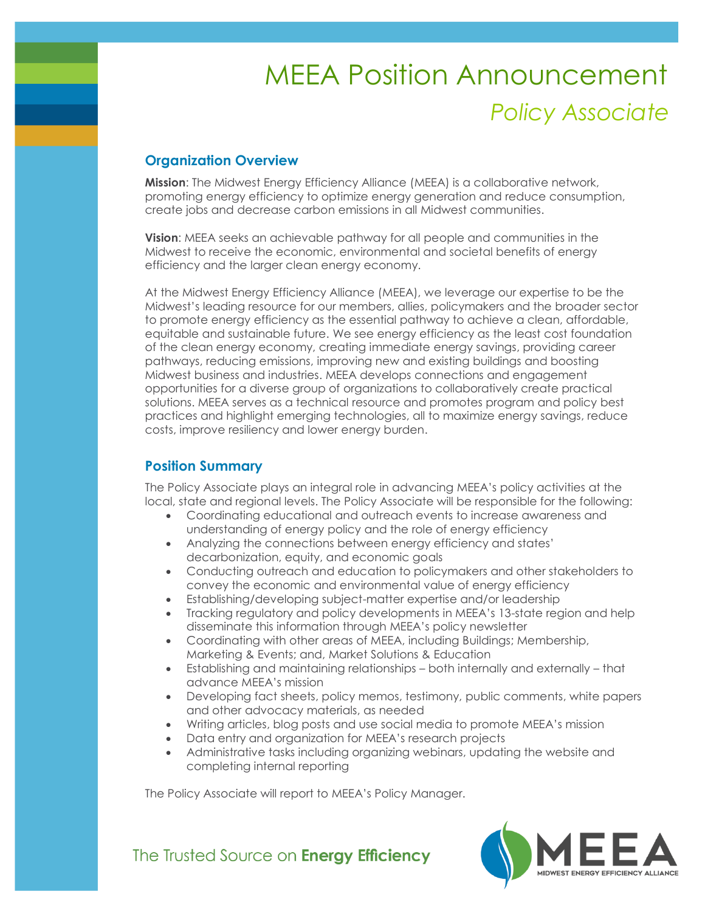# *Policy Associate* MEEA Position Announcement

# **Organization Overview**

**Mission**: The Midwest Energy Efficiency Alliance (MEEA) is a collaborative network, promoting energy efficiency to optimize energy generation and reduce consumption, create jobs and decrease carbon emissions in all Midwest communities.

**Vision**: MEEA seeks an achievable pathway for all people and communities in the Midwest to receive the economic, environmental and societal benefits of energy efficiency and the larger clean energy economy.

At the Midwest Energy Efficiency Alliance (MEEA), we leverage our expertise to be the Midwest's leading resource for our members, allies, policymakers and the broader sector to promote energy efficiency as the essential pathway to achieve a clean, affordable, equitable and sustainable future. We see energy efficiency as the least cost foundation of the clean energy economy, creating immediate energy savings, providing career pathways, reducing emissions, improving new and existing buildings and boosting Midwest business and industries. MEEA develops connections and engagement opportunities for a diverse group of organizations to collaboratively create practical solutions. MEEA serves as a technical resource and promotes program and policy best practices and highlight emerging technologies, all to maximize energy savings, reduce costs, improve resiliency and lower energy burden.

# **Position Summary**

The Policy Associate plays an integral role in advancing MEEA's policy activities at the local, state and regional levels. The Policy Associate will be responsible for the following:

- Coordinating educational and outreach events to increase awareness and understanding of energy policy and the role of energy efficiency
- Analyzing the connections between energy efficiency and states' decarbonization, equity, and economic goals
- Conducting outreach and education to policymakers and other stakeholders to convey the economic and environmental value of energy efficiency
- Establishing/developing subject-matter expertise and/or leadership
- Tracking regulatory and policy developments in MEEA's 13-state region and help disseminate this information through MEEA's policy newsletter
- Coordinating with other areas of MEEA, including Buildings; Membership, Marketing & Events; and, Market Solutions & Education
- Establishing and maintaining relationships both internally and externally that advance MEEA's mission
- Developing fact sheets, policy memos, testimony, public comments, white papers and other advocacy materials, as needed
- Writing articles, blog posts and use social media to promote MEEA's mission
- Data entry and organization for MEEA's research projects
- Administrative tasks including organizing webinars, updating the website and completing internal reporting

The Policy Associate will report to MEEA's Policy Manager.



The Trusted Source on Energy Efficiency